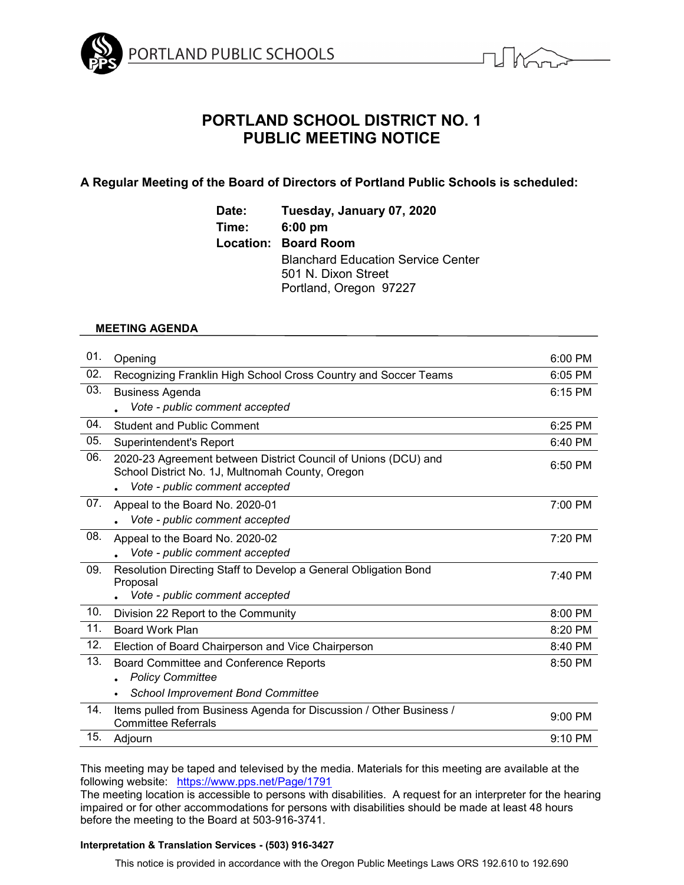



# **PORTLAND SCHOOL DISTRICT NO. 1 PUBLIC MEETING NOTICE**

# **A Regular Meeting of the Board of Directors of Portland Public Schools is scheduled:**

**Date: Tuesday, January 07, 2020 Time: 6:00 pm Location: Board Room** Blanchard Education Service Center 501 N. Dixon Street Portland, Oregon 97227

# **MEETING AGENDA**

| 01. | Opening                                                                                                                                              | $6:00$ PM |
|-----|------------------------------------------------------------------------------------------------------------------------------------------------------|-----------|
| 02. | Recognizing Franklin High School Cross Country and Soccer Teams                                                                                      | 6:05 PM   |
| 03. | <b>Business Agenda</b>                                                                                                                               | 6:15 PM   |
|     | Vote - public comment accepted                                                                                                                       |           |
| 04. | <b>Student and Public Comment</b>                                                                                                                    | 6:25 PM   |
| 05. | Superintendent's Report                                                                                                                              | 6:40 PM   |
| 06. | 2020-23 Agreement between District Council of Unions (DCU) and<br>School District No. 1J, Multnomah County, Oregon<br>Vote - public comment accepted | 6:50 PM   |
| 07. | Appeal to the Board No. 2020-01<br>Vote - public comment accepted                                                                                    | 7:00 PM   |
| 08. | Appeal to the Board No. 2020-02<br>Vote - public comment accepted                                                                                    | 7:20 PM   |
| 09. | Resolution Directing Staff to Develop a General Obligation Bond<br>Proposal<br>Vote - public comment accepted                                        | 7:40 PM   |
| 10. | Division 22 Report to the Community                                                                                                                  | 8:00 PM   |
| 11. | <b>Board Work Plan</b>                                                                                                                               | 8:20 PM   |
| 12. | Election of Board Chairperson and Vice Chairperson                                                                                                   | 8:40 PM   |
| 13. | Board Committee and Conference Reports<br><b>Policy Committee</b>                                                                                    | 8:50 PM   |
|     | <b>School Improvement Bond Committee</b>                                                                                                             |           |
| 14. | Items pulled from Business Agenda for Discussion / Other Business /<br><b>Committee Referrals</b>                                                    | 9:00 PM   |
| 15. | Adjourn                                                                                                                                              | 9:10 PM   |

This meeting may be taped and televised by the media. Materials for this meeting are available at the following website: <https://www.pps.net/Page/1791>

The meeting location is accessible to persons with disabilities. A request for an interpreter for the hearing impaired or for other accommodations for persons with disabilities should be made at least 48 hours before the meeting to the Board at 503-916-3741.

# **Interpretation & Translation Services - (503) 916-3427**

This notice is provided in accordance with the Oregon Public Meetings Laws ORS 192.610 to 192.690